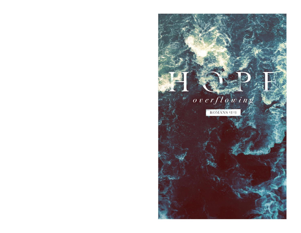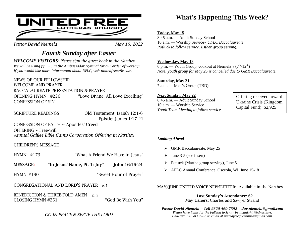

*Pastor David Niemela* May 15, 2022

## *Fourth Sunday after Easter*

*WELCOME VISITORS: Please sign the guest book in the Narthex. We will be using pp. 2-5 in the Ambassador Hymnal for our order of worship. If you would like more information about UFLC, visit unitedfreeaflc.com.*

NEWS OF OUR FELLOWSHIP WELCOME AND PRAYER BACCALAUREATE PRESENTATION & PRAYER OPENING HYMN: #226 "Love Divine, All Love Excelling" CONFESSION OF SIN

SCRIPTURE READINGS Old Testament: Isaiah 12:1-6 Epistle: James 1:17-21

CONFESSION OF FAITH ~ Apostles' Creed  $OFERING \sim Free$ -will *Annual Galilee Bible Camp Corporation Offering in Narthex*

CHILDREN'S MESSAGE

- HYMN: #173 "What A Friend We Have in Jesus"
- MESSAGE: "In Jesus' Name, Pt. 1: Joy" John 16:16-24
- HYMN: #190 "Sweet Hour of Prayer"

CONGREGATIONAL AND LORD'S PRAYER  $p.5$ 

BENEDICTION & THREE-FOLD AMEN p. 5 CLOSING HYMN #251 "God Be With You"

*GO IN PEACE & SERVE THE LORD*

## What's Happening This Week?

#### **Today, May 15**

8:45 a.m. — Adult Sunday School 10 a.m. — Worship Service*~ UFLC Baccalaureate Potluck to follow service. Esther group serving.*

#### **Wednesday, May 18**

6 p.m. — Youth Group, cookout at Niemela's  $(7<sup>th</sup>-12<sup>th</sup>)$ *Note: youth group for May 25 is cancelled due to GMR Baccalaureate.*

**Saturday, May 21** 7 a.m. — Men's Group (TBD)

#### **Next Sunday, May 22**

8:45 a.m. — Adult Sunday School 10 a.m. — Worship Service *Youth Team Meeting to follow service* Offering received toward Ukraine Crisis (Kingdom Capital Fund): \$2,925

#### *Looking Ahead*

- ➢ GMR Baccalaureate, May 25
- $\triangleright$  June 3-5 (see insert)
- ➢ Potluck (Martha group serving), June 5.
- ➢ AFLC Annual Conference, Osceola, WI, June 15-18

MAY/JUNE UNITED VOICE NEWSLETTER: Available in the Narthex.

Last Sunday's Attendance: 62 May Ushers: Charles and Sawyer Strand

*Pastor David Niemela ~ Cell #320-469-7392 ~ dav.niemela@gmail.com Please have items for the bulletin to Jenny by midnight Wednesdays. Call/text 320-583-9782 or email at unitedfreegreenbush@gmail.com.*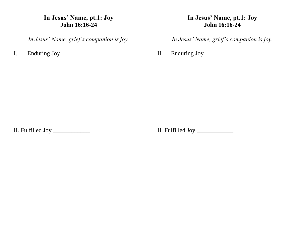## **In Jesus' Name, pt.1: Joy John 16:16-24**

*In Jesus' Name, grief's companion is joy.*

I. Enduring Joy \_\_\_\_\_\_\_\_\_\_\_\_\_

### **In Jesus' Name, pt.1: Joy John 16:16-24**

*In Jesus' Name, grief's companion is joy.*

II. Enduring Joy \_\_\_\_\_\_\_\_\_\_\_\_\_

II. Fulfilled Joy \_\_\_\_\_\_\_\_\_\_\_\_

II. Fulfilled Joy \_\_\_\_\_\_\_\_\_\_\_\_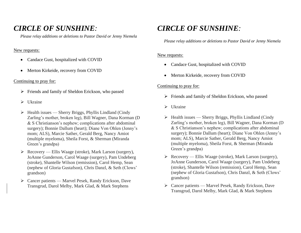## *CIRCLE OF SUNSHINE:*

*Please relay additions or deletions to Pastor David or Jenny Niemela*

#### New requests:

- Candace Gust, hospitalized with COVID
- Merton Kirkeide, recovery from COVID

#### Continuing to pray for:

- ➢ Friends and family of Sheldon Erickson, who passed
- ➢ Ukraine
- ➢ Health issues Sherry Briggs, Phyllis Lindland (Cindy Zarling's mother, broken leg), Bill Wagner, Dana Korman (D & S Christianson's nephew; complications after abdominal surgery); Bonnie Dallum (heart); Diane Von Ohlen (Jenny's mom; ALS), Marcie Sather, Gerald Berg, Nancy Amiot (multiple myeloma), Sheila Forst, & Sherman (Miranda Green's grandpa)
- ➢ Recovery Ellis Waage (stroke), Mark Larson (surgery), JoAnne Gunderson, Carol Waage (surgery), Pam Undeberg (stroke), Shantelle Wilson (remission), Carol Hemp, Sean (nephew of Gloria Gustafson), Chris Danzl, & Seth (Clows' grandson)
- ➢ Cancer patients Marvel Pesek, Randy Erickson, Dave Transgrud, Darol Melby, Mark Glad, & Mark Stephens

## *CIRCLE OF SUNSHINE:*

*Please relay additions or deletions to Pastor David or Jenny Niemela*

#### New requests:

- Candace Gust, hospitalized with COVID
- Merton Kirkeide, recovery from COVID

#### Continuing to pray for:

- ➢ Friends and family of Sheldon Erickson, who passed
- ➢ Ukraine
- $\triangleright$  Health issues Sherry Briggs, Phyllis Lindland (Cindy Zarling's mother, broken leg), Bill Wagner, Dana Korman (D & S Christianson's nephew; complications after abdominal surgery); Bonnie Dallum (heart); Diane Von Ohlen (Jenny's mom; ALS), Marcie Sather, Gerald Berg, Nancy Amiot (multiple myeloma), Sheila Forst, & Sherman (Miranda Green's grandpa)
- ➢ Recovery Ellis Waage (stroke), Mark Larson (surgery), JoAnne Gunderson, Carol Waage (surgery), Pam Undeberg (stroke), Shantelle Wilson (remission), Carol Hemp, Sean (nephew of Gloria Gustafson), Chris Danzl, & Seth (Clows' grandson)
- ➢ Cancer patients Marvel Pesek, Randy Erickson, Dave Transgrud, Darol Melby, Mark Glad, & Mark Stephens